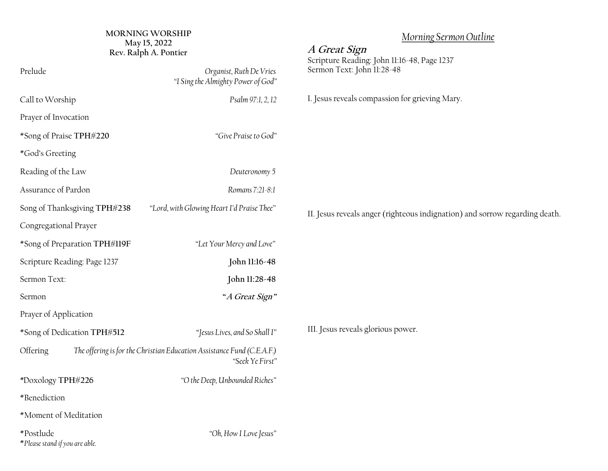## **MORNING WORSHIP May 15, 2022**

*\**Doxology **TPH#226** *"O the Deep, Unbounded Riches"*

| MORNING WORSHIP<br>May 15, 2022<br>Rev. Ralph A. Pontier                                              |                                                               | Morning Sermon Outline<br>A Great Sign<br>Scripture Reading: John 11:16-48, Page 1237 |
|-------------------------------------------------------------------------------------------------------|---------------------------------------------------------------|---------------------------------------------------------------------------------------|
| Prelude                                                                                               | Organist, Ruth De Vries<br>"I Sing the Almighty Power of God" | Sermon Text: John 11:28-48                                                            |
| Call to Worship                                                                                       | Psalm 97:1, 2, 12                                             | I. Jesus reveals compassion for grieving Mary.                                        |
| Prayer of Invocation                                                                                  |                                                               |                                                                                       |
| *Song of Praise TPH#220                                                                               | "Give Praise to God"                                          |                                                                                       |
| *God's Greeting                                                                                       |                                                               |                                                                                       |
| Reading of the Law                                                                                    | Deuteronomy 5                                                 |                                                                                       |
| Assurance of Pardon                                                                                   | Romans 7:21-8:1                                               |                                                                                       |
| Song of Thanksgiving TPH#238                                                                          | "Lord, with Glowing Heart I'd Praise Thee"                    | II. Jesus reveals anger (righteous indignation) and sorrow regarding death.           |
| Congregational Prayer                                                                                 |                                                               |                                                                                       |
| *Song of Preparation TPH#119F                                                                         | "Let Your Mercy and Love"                                     |                                                                                       |
| Scripture Reading: Page 1237                                                                          | John 11:16-48                                                 |                                                                                       |
| Sermon Text:                                                                                          | John 11:28-48                                                 |                                                                                       |
| Sermon                                                                                                | "A Great Sign"                                                |                                                                                       |
| Prayer of Application                                                                                 |                                                               |                                                                                       |
| *Song of Dedication TPH#512                                                                           | "Jesus Lives, and So Shall I"                                 | III. Jesus reveals glorious power.                                                    |
| Offering<br>The offering is for the Christian Education Assistance Fund (C.E.A.F.)<br>"Seek Ye First" |                                                               |                                                                                       |

\**Please stand if you are able.*

\*Moment of Meditation

\*Benediction

\*Postlude *"Oh, How I Love Jesus"*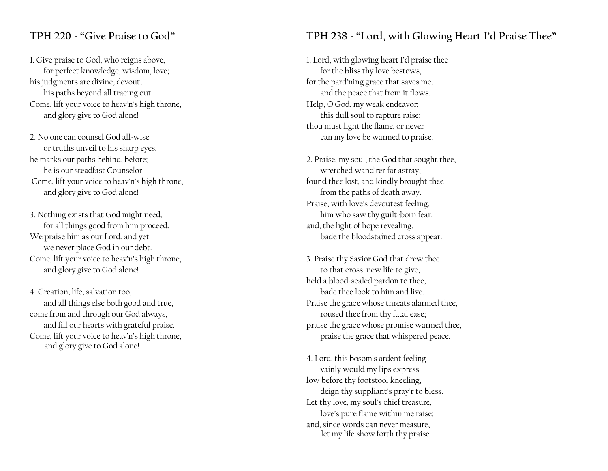#### **TPH 220 - "Give Praise to God"**

1. Give praise to God, who reigns above, for perfect knowledge, wisdom, love; his judgments are divine, devout, his paths beyond all tracing out. Come, lift your voice to heav'n's high throne, and glory give to God alone!

2. No one can counsel God all-wise or truths unveil to his sharp eyes; he marks our paths behind, before; he is our steadfast Counselor. Come, lift your voice to heav'n's high throne, and glory give to God alone!

3. Nothing exists that God might need, for all things good from him proceed. We praise him as our Lord, and yet we never place God in our debt. Come, lift your voice to heav'n's high throne, and glory give to God alone!

4. Creation, life, salvation too, and all things else both good and true, come from and through our God always, and fill our hearts with grateful praise. Come, lift your voice to heav'n's high throne, and glory give to God alone!

### **TPH 238 - "Lord, with Glowing Heart I'd Praise Thee"**

1. Lord, with glowing heart I'd praise thee for the bliss thy love bestows, for the pard'ning grace that saves me, and the peace that from it flows. Help, O God, my weak endeavor; this dull soul to rapture raise: thou must light the flame, or never can my love be warmed to praise.

2. Praise, my soul, the God that sought thee, wretched wand'rer far astray; found thee lost, and kindly brought thee from the paths of death away. Praise, with love's devoutest feeling, him who saw thy guilt-born fear, and, the light of hope revealing, bade the bloodstained cross appear.

3. Praise thy Savior God that drew thee to that cross, new life to give, held a blood-sealed pardon to thee, bade thee look to him and live. Praise the grace whose threats alarmed thee, roused thee from thy fatal ease; praise the grace whose promise warmed thee, praise the grace that whispered peace.

4. Lord, this bosom's ardent feeling vainly would my lips express: low before thy footstool kneeling, deign thy suppliant's pray'r to bless. Let thy love, my soul's chief treasure, love's pure flame within me raise; and, since words can never measure, let my life show forth thy praise.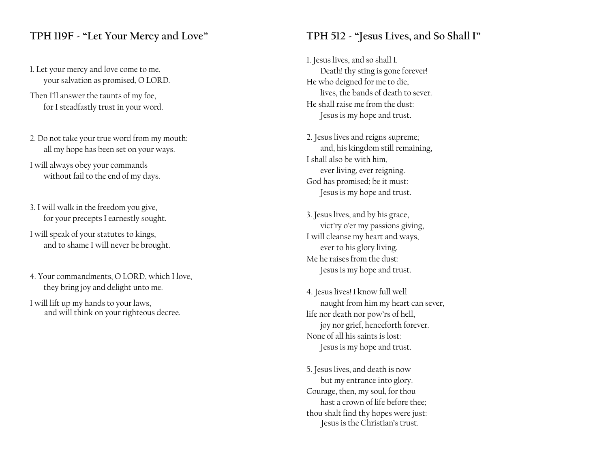### **TPH 119F - "Let Your Mercy and Love"**

1. Let your mercy and love come to me, your salvation as promised, O LORD.

Then I'll answer the taunts of my foe, for I steadfastly trust in your word.

2. Do not take your true word from my mouth; all my hope has been set on your ways.

I will always obey your commands without fail to the end of my days.

- 3. I will walk in the freedom you give, for your precepts I earnestly sought.
- I will speak of your statutes to kings, and to shame I will never be brought.
- 4. Your commandments, O LORD, which I love, they bring joy and delight unto me.

I will lift up my hands to your laws, and will think on your righteous decree.

### **TPH 512 - "Jesus Lives, and So Shall I"**

1. Jesus lives, and so shall I. Death! thy sting is gone forever! He who deigned for me to die, lives, the bands of death to sever. He shall raise me from the dust: Jesus is my hope and trust.

- 2. Jesus lives and reigns supreme; and, his kingdom still remaining, I shall also be with him, ever living, ever reigning. God has promised; be it must: Jesus is my hope and trust.
- 3. Jesus lives, and by his grace, vict'ry o'er my passions giving, I will cleanse my heart and ways, ever to his glory living. Me he raises from the dust: Jesus is my hope and trust.
- 4. Jesus lives! I know full well naught from him my heart can sever, life nor death nor pow'rs of hell, joy nor grief, henceforth forever. None of all his saints is lost: Jesus is my hope and trust.
- 5. Jesus lives, and death is now but my entrance into glory. Courage, then, my soul, for thou hast a crown of life before thee; thou shalt find thy hopes were just: Jesus is the Christian's trust.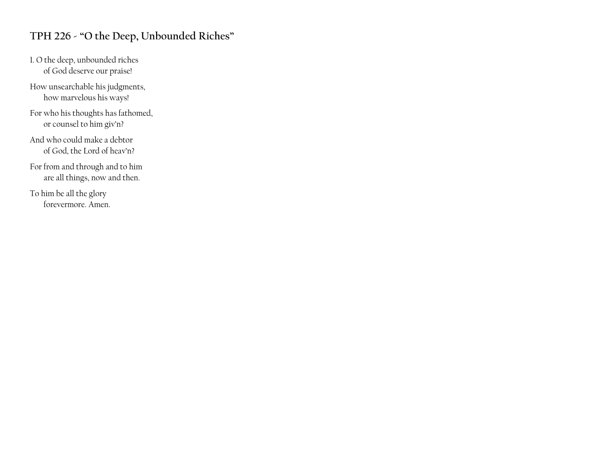## **TPH 226 - "O the Deep, Unbounded Riches"**

1. O the deep, unbounded riches of God deserve our praise!

How unsearchable his judgments, how marvelous his ways!

For who his thoughts has fathomed, or counsel to him giv'n?

And who could make a debtor of God, the Lord of heav'n?

For from and through and to him are all things, now and then.

To him be all the glory forevermore. Amen.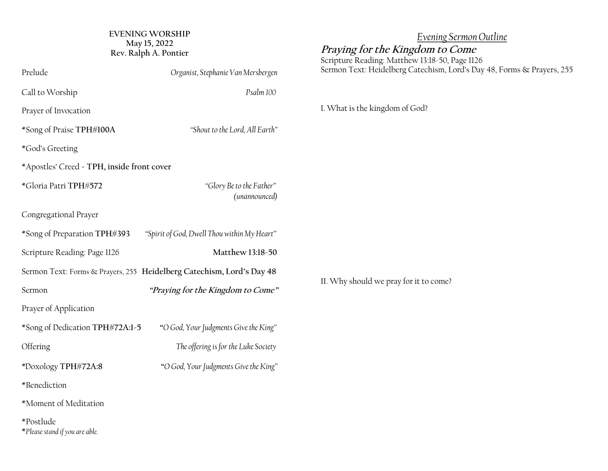| EVENING WORSHIP       |  |  |  |  |
|-----------------------|--|--|--|--|
| May 15, 2022          |  |  |  |  |
| Rev. Ralph A. Pontier |  |  |  |  |

| Prelude                                     | Organist, Stephanie Van Mersbergen                                    | Sermon Text: Heidelberg Catechism, Lord's Day 48, Forms & Prayers, 255 |
|---------------------------------------------|-----------------------------------------------------------------------|------------------------------------------------------------------------|
| Call to Worship                             | Psalm 100                                                             |                                                                        |
| Prayer of Invocation                        |                                                                       | I. What is the kingdom of God?                                         |
| *Song of Praise TPH#100A                    | "Shout to the Lord, All Earth"                                        |                                                                        |
| *God's Greeting                             |                                                                       |                                                                        |
| *Apostles' Creed - TPH, inside front cover  |                                                                       |                                                                        |
| *Gloria Patri TPH#572                       | "Glory Be to the Father"<br>(unannounced)                             |                                                                        |
| Congregational Prayer                       |                                                                       |                                                                        |
| *Song of Preparation TPH#393                | "Spirit of God, Dwell Thou within My Heart"                           |                                                                        |
| Scripture Reading: Page 1126                | Matthew 13:18-50                                                      |                                                                        |
|                                             | Sermon Text: Forms & Prayers, 255 Heidelberg Catechism, Lord's Day 48 |                                                                        |
| Sermon                                      | "Praying for the Kingdom to Come"                                     | II. Why should we pray for it to come?                                 |
| Prayer of Application                       |                                                                       |                                                                        |
| *Song of Dedication TPH#72A:1-5             | "O God, Your Judgments Give the King"                                 |                                                                        |
| Offering                                    | The offering is for the Luke Society                                  |                                                                        |
| *Doxology TPH#72A:8                         | "O God, Your Judgments Give the King"                                 |                                                                        |
| *Benediction                                |                                                                       |                                                                        |
| *Moment of Meditation                       |                                                                       |                                                                        |
| *Postlude<br>*Please stand if you are able. |                                                                       |                                                                        |

*Evening Sermon Outline*

**Praying for the Kingdom to Come** Scripture Reading: Matthew 13:18-50, Page 1126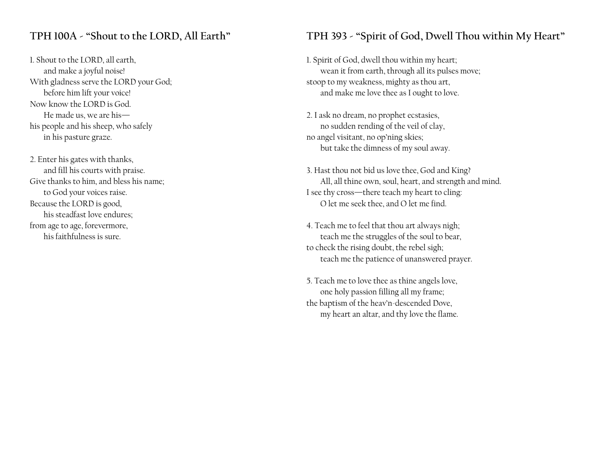## **TPH 100A - "Shout to the LORD, All Earth"**

1. Shout to the LORD, all earth, and make a joyful noise! With gladness serve the LORD your God; before him lift your voice! Now know the LORD is God. He made us, we are his his people and his sheep, who safely in his pasture graze.

2. Enter his gates with thanks, and fill his courts with praise. Give thanks to him, and bless his name; to God your voices raise. Because the LORD is good, his steadfast love endures; from age to age, forevermore, his faithfulness is sure.

## **TPH 393 - "Spirit of God, Dwell Thou within My Heart"**

1. Spirit of God, dwell thou within my heart; wean it from earth, through all its pulses move; stoop to my weakness, mighty as thou art, and make me love thee as I ought to love.

2. I ask no dream, no prophet ecstasies, no sudden rending of the veil of clay, no angel visitant, no op'ning skies; but take the dimness of my soul away.

3. Hast thou not bid us love thee, God and King? All, all thine own, soul, heart, and strength and mind. I see thy cross—there teach my heart to cling: O let me seek thee, and O let me find.

4. Teach me to feel that thou art always nigh; teach me the struggles of the soul to bear, to check the rising doubt, the rebel sigh; teach me the patience of unanswered prayer.

5. Teach me to love thee as thine angels love, one holy passion filling all my frame; the baptism of the heav'n-descended Dove, my heart an altar, and thy love the flame.